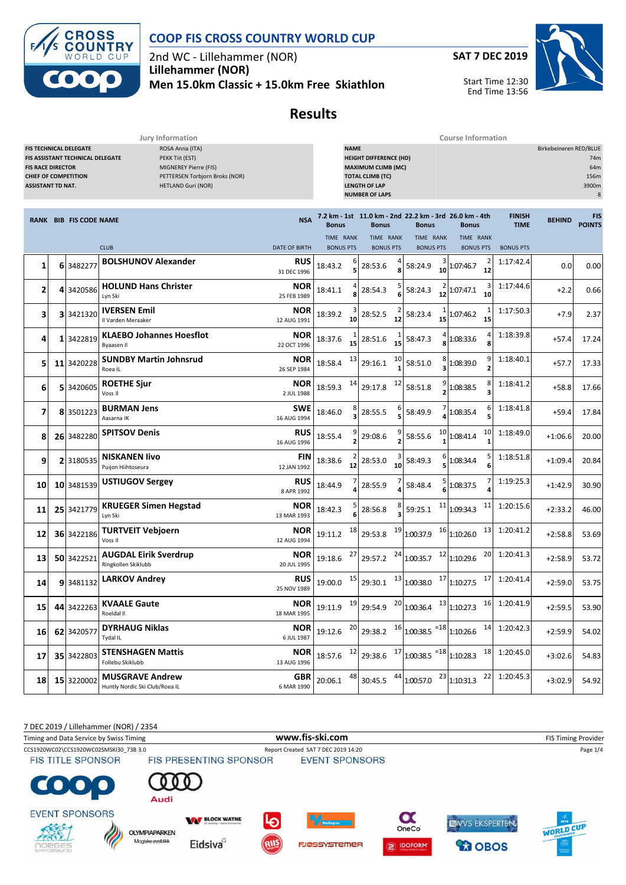

#### **COOP FIS CROSS COUNTRY WORLD CUP**

2nd WC - Lillehammer (NOR) **Lillehammer (NOR) Men 15.0km Classic + 15.0km Free Skiathlon** **SAT 7 DEC 2019**



Start Time 12:30 End Time 13:56

## **Results**

| Jury Information                                                                    |  |                                                                   |                                                                                                                            |                           |                               | <b>Course Information</b> |                                                                                                                                        |    |                                                                        |                               |                      |                              |                        |                                  |  |
|-------------------------------------------------------------------------------------|--|-------------------------------------------------------------------|----------------------------------------------------------------------------------------------------------------------------|---------------------------|-------------------------------|---------------------------|----------------------------------------------------------------------------------------------------------------------------------------|----|------------------------------------------------------------------------|-------------------------------|----------------------|------------------------------|------------------------|----------------------------------|--|
| <b>FIS RACE DIRECTOR</b><br><b>CHIEF OF COMPETITION</b><br><b>ASSISTANT TD NAT.</b> |  | <b>FIS TECHNICAL DELEGATE</b><br>FIS ASSISTANT TECHNICAL DELEGATE | ROSA Anna (ITA)<br>PEKK Tiit (EST)<br>MIGNEREY Pierre (FIS)<br>PETTERSEN Torbjorn Broks (NOR)<br><b>HETLAND Guri (NOR)</b> |                           |                               | <b>NAME</b>               | <b>HEIGHT DIFFERENCE (HD)</b><br><b>MAXIMUM CLIMB (MC)</b><br><b>TOTAL CLIMB (TC)</b><br><b>LENGTH OF LAP</b><br><b>NUMBER OF LAPS</b> |    |                                                                        |                               |                      |                              | Birkebeineren RED/BLUE | 74m<br>64m<br>156m<br>3900m<br>8 |  |
|                                                                                     |  | <b>RANK BIB FIS CODE NAME</b>                                     |                                                                                                                            | <b>NSA</b>                | <b>Bonus</b>                  |                           | <b>Bonus</b>                                                                                                                           |    | 7.2 km - 1st 11.0 km - 2nd 22.2 km - 3rd 26.0 km - 4th<br><b>Bonus</b> | <b>Bonus</b>                  |                      | <b>FINISH</b><br><b>TIME</b> | <b>BEHIND</b>          | <b>FIS</b><br><b>POINTS</b>      |  |
|                                                                                     |  |                                                                   | <b>CLUB</b>                                                                                                                | <b>DATE OF BIRTH</b>      | TIME RANK<br><b>BONUS PTS</b> |                           | TIME RANK<br><b>BONUS PTS</b>                                                                                                          |    | TIME RANK<br><b>BONUS PTS</b>                                          | TIME RANK<br><b>BONUS PTS</b> |                      | <b>BONUS PTS</b>             |                        |                                  |  |
| 1                                                                                   |  | 6 3482277                                                         | <b>BOLSHUNOV Alexander</b>                                                                                                 | <b>RUS</b><br>31 DEC 1996 | 18:43.2                       |                           | 28:53.6                                                                                                                                |    | 3<br>58:24.9<br>10                                                     | 1:07:46.7                     | $\overline{2}$<br>12 | 1:17:42.4                    | 0.0                    | 0.00                             |  |
| 2                                                                                   |  | 4 3420586                                                         | <b>HOLUND Hans Christer</b><br>Lyn Ski                                                                                     | <b>NOR</b><br>25 FEB 1989 | 18:41.1                       |                           | 28:54.3                                                                                                                                |    | 58:24.3                                                                | 1:07:47.1                     | 3<br>10              | 1:17:44.6                    | $+2.2$                 | 0.66                             |  |
| 3                                                                                   |  | 3 3421320                                                         | <b>IVERSEN Emil</b><br>Il Varden Meraaker                                                                                  | <b>NOR</b><br>12 AUG 1991 | 18:39.2                       | 10                        | 28:52.5                                                                                                                                | 12 | 58:23.4<br>15                                                          | 1:07:46.2                     | 15                   | 1:17:50.3                    | $+7.9$                 | 2.37                             |  |
| 4                                                                                   |  | 1 3422819                                                         | <b>KLAEBO Johannes Hoesflot</b><br>Byaasen II                                                                              | <b>NOR</b><br>22 OCT 1996 | 18:37.6                       | 15                        | 28:51.6                                                                                                                                | 15 | 58:47.3                                                                | 1:08:33.6                     | 8                    | 1:18:39.8                    | $+57.4$                | 17.24                            |  |
| 5                                                                                   |  | 11 3420228                                                        | <b>SUNDBY Martin Johnsrud</b><br>Roea IL                                                                                   | <b>NOR</b><br>26 SEP 1984 | 18:58.4                       | 13                        | 29:16.1                                                                                                                                | 10 | 58:51.0                                                                | 1:08:39.0                     | 9<br>$\overline{2}$  | 1:18:40.1                    | $+57.7$                | 17.33                            |  |
| 6                                                                                   |  | 5 3420605                                                         | <b>ROETHE Sjur</b><br>Voss II                                                                                              | <b>NOR</b><br>2 JUL 1988  | 18:59.3                       | 14                        | 29:17.8                                                                                                                                | 12 | 58:51.8                                                                | 1:08:38.5                     | 8<br>3               | 1:18:41.2                    | $+58.8$                | 17.66                            |  |
| 7                                                                                   |  | 8 3501223                                                         | <b>BURMAN Jens</b><br>Aasarna IK                                                                                           | <b>SWE</b><br>16 AUG 1994 | 18:46.0                       |                           | 28:55.5                                                                                                                                |    | 58:49.9                                                                | 1:08:35.4                     | 6<br>5               | 1:18:41.8                    | $+59.4$                | 17.84                            |  |
| 8                                                                                   |  | 26 3482280                                                        | <b>SPITSOV Denis</b>                                                                                                       | RUS<br>16 AUG 1996        | 18:55.4                       |                           | 29:08.6                                                                                                                                |    | 10<br>58:55.6                                                          | 1:08:41.4                     | 10                   | 1:18:49.0                    | $+1:06.6$              | 20.00                            |  |
| 9                                                                                   |  | 2 3180535                                                         | <b>NISKANEN livo</b><br>Puijon Hiihtoseura                                                                                 | <b>FIN</b><br>12 JAN 1992 | 18:38.6                       | 12                        | 28:53.0                                                                                                                                | 10 | 58:49.3                                                                | 1:08:34.4                     | 6                    | 1:18:51.8                    | $+1:09.4$              | 20.84                            |  |
| 10                                                                                  |  | 10 3481539                                                        | <b>USTIUGOV Sergey</b>                                                                                                     | <b>RUS</b><br>8 APR 1992  | 18:44.9                       |                           | 28:55.9                                                                                                                                |    | 58:48.4                                                                | 1:08:37.5                     |                      | 1:19:25.3                    | $+1:42.9$              | 30.90                            |  |
| 11                                                                                  |  | 25 3421779                                                        | <b>KRUEGER Simen Hegstad</b><br>Lyn Ski                                                                                    | <b>NOR</b><br>13 MAR 1993 | 18:42.3                       |                           | 28:56.8                                                                                                                                |    | 11<br>59:25.1                                                          | 1:09:34.3                     | 11                   | 1:20:15.6                    | $+2:33.2$              | 46.00                            |  |
| 12                                                                                  |  | 36 3422186                                                        | <b>TURTVEIT Vebjoern</b><br>Voss II                                                                                        | <b>NOR</b><br>12 AUG 1994 | 19:11.2                       | 18                        | 29:53.8                                                                                                                                | 19 | 16<br>1:00:37.9                                                        | 1:10:26.0                     | 13                   | 1:20:41.2                    | $+2:58.8$              | 53.69                            |  |
| 13                                                                                  |  | 50 3422521                                                        | <b>AUGDAL Eirik Sverdrup</b><br>Ringkollen Skiklubb                                                                        | NOR<br>20 JUL 1995        | 19:18.6                       | 27                        | 29:57.2                                                                                                                                | 24 | 12<br>1:00:35.7                                                        | 1:10:29.6                     | 20                   | 1:20:41.3                    | $+2:58.9$              | 53.72                            |  |
| 14                                                                                  |  | 9 3481132                                                         | <b>LARKOV Andrey</b>                                                                                                       | RUS<br>25 NOV 1989        | 19:00.0                       | 15                        | 29:30.1                                                                                                                                | 13 | 17<br>1:00:38.0                                                        | 1:10:27.5                     | 17                   | 1:20:41.4                    | $+2:59.0$              | 53.75                            |  |
| <b>15</b>                                                                           |  | 44 3422263                                                        | <b>KVAALE Gaute</b><br>Roeldal II                                                                                          | <b>NOR</b><br>18 MAR 1995 | 19:11.9                       | 19                        | 29:54.9                                                                                                                                | 20 | 13<br>1:00:36.4                                                        | 1:10:27.3                     |                      | 16 1:20:41.9                 | $+2:59.5$              | 53.90                            |  |
| 16                                                                                  |  | 62 3420577                                                        | <b>DYRHAUG Niklas</b><br>Tydal IL                                                                                          | <b>NOR</b><br>6 JUL 1987  | 19:12.6                       | 20                        |                                                                                                                                        |    | 29:38.2 $16 \mid 1:00:38.5$ = 18 1:10:26.6                             |                               |                      | 14 1:20:42.3                 | $+2:59.9$              | 54.02                            |  |
| 17                                                                                  |  | 35 3422803                                                        | <b>STENSHAGEN Mattis</b><br>Follebu Skiklubb                                                                               | <b>NOR</b><br>13 AUG 1996 | 18:57.6                       | 12                        |                                                                                                                                        |    | 29:38.6 $17 1.00:38.5$ = 18 1:10:28.3                                  |                               |                      | 18 1:20:45.0                 | $+3:02.6$              | 54.83                            |  |
| 18                                                                                  |  | 15 3220002                                                        | <b>MUSGRAVE Andrew</b><br>Huntly Nordic Ski Club/Roea IL                                                                   | <b>GBR</b><br>6 MAR 1990  | 20:06.1                       | 48                        |                                                                                                                                        |    | 30:45.5 $^{44}$ 1:00:57.0 $^{23}$ 1:10:31.3                            |                               | 22                   | 1:20:45.3                    | $+3:02.9$              | 54.92                            |  |

7 DEC 2019 / Lillehammer (NOR) / 2354 Timing and Data Service by Swiss Timing **WWW.fis-Ski.com www.fis-ski.com** FIS Timing Provider CCS1920WC02\CCS1920WC02SMSKI30\_73B 3.0 Report Created SAT 7 DEC 2019 14:20<br>FIS TITLE SPONSOR FIS PRESENTING SPONSOR EVENT SPONSORS Audi **EVENT SPONSORS**  $\boldsymbol{\alpha}$ **WAY BLOCK WATNE** EWVS EKSPERTEN. WORLD CUP OneCo **OLYMPIAPARKEN** Magiske øyeblikk Eidsiva<sup>o</sup> **FJØSSYSTEMER** DOFORM *<u>CO</u>* OBOS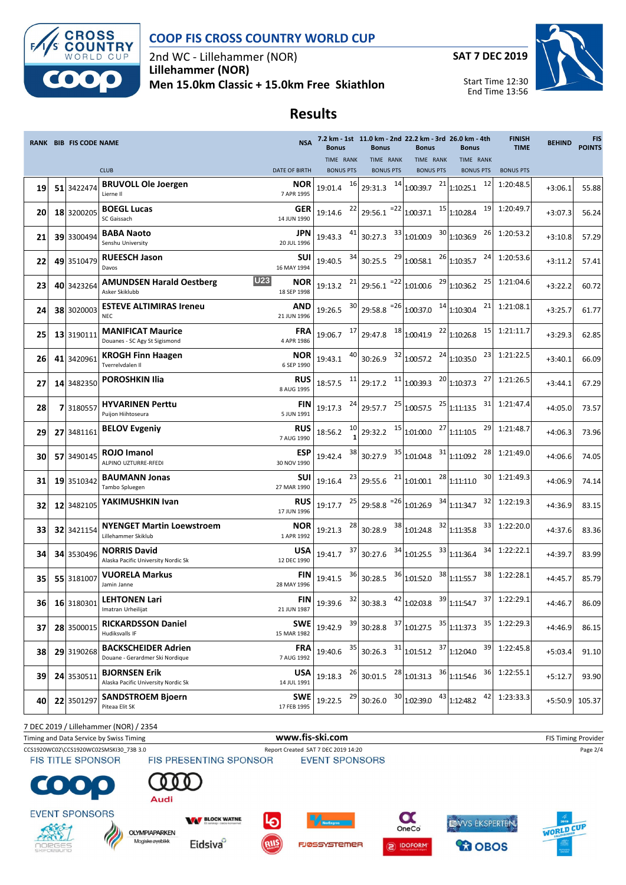

### **COOP FIS CROSS COUNTRY WORLD CUP**

2nd WC - Lillehammer (NOR) **Lillehammer (NOR) Men 15.0km Classic + 15.0km Free Skiathlon**





Start Time 12:30 End Time 13:56

# **Results**

|    | <b>RANK BIB FIS CODE NAME</b> |                                                                 |                           | <b>Bonus</b>                  |    | <b>Bonus</b>                      | <b>Bonus</b>                                                                                                                                    | 7.2 km - 1st 11.0 km - 2nd 22.2 km - 3rd 26.0 km - 4th<br><b>Bonus</b>                                                                                                   | <b>FINISH</b><br><b>TIME</b> | <b>BEHIND</b> | <b>FIS</b><br><b>POINTS</b> |
|----|-------------------------------|-----------------------------------------------------------------|---------------------------|-------------------------------|----|-----------------------------------|-------------------------------------------------------------------------------------------------------------------------------------------------|--------------------------------------------------------------------------------------------------------------------------------------------------------------------------|------------------------------|---------------|-----------------------------|
|    |                               | <b>CLUB</b>                                                     | <b>DATE OF BIRTH</b>      | TIME RANK<br><b>BONUS PTS</b> |    | TIME RANK<br><b>BONUS PTS</b>     | TIME RANK<br><b>BONUS PTS</b>                                                                                                                   | TIME RANK<br><b>BONUS PTS</b>                                                                                                                                            | <b>BONUS PTS</b>             |               |                             |
| 19 | 51 3422474                    | <b>BRUVOLL Ole Joergen</b><br>Lierne II                         | NOR.<br>7 APR 1995        | 19:01.4 16                    |    |                                   | 29:31.3 $14$ 1:00:39.7 $21$ 1:10:25.1                                                                                                           | 12                                                                                                                                                                       | 1:20:48.5                    | $+3:06.1$     | 55.88                       |
| 20 | 18 3200205                    | <b>BOEGL Lucas</b><br>SC Gaissach                               | <b>GER</b><br>14 JUN 1990 | 19:14.6                       |    |                                   | $\frac{22}{29:56.1}$ = $\frac{22}{1:00:37.1}$ $\frac{15}{1:10:28.4}$                                                                            | 19                                                                                                                                                                       | 1:20:49.7                    | $+3:07.3$     | 56.24                       |
| 21 | 39 3300494                    | <b>BABA Naoto</b><br>Senshu University                          | JPN<br>20 JUL 1996        | 19:43.3                       | 41 | 30:27.3                           | 33 1.01:00.9                                                                                                                                    | 30 1:10:36.9<br>26                                                                                                                                                       | 1:20:53.2                    | $+3:10.8$     | 57.29                       |
| 22 | 49 3510479                    | <b>RUEESCH Jason</b><br>Davos                                   | SUI<br>16 MAY 1994        | 19:40.5                       |    | $34$ 30:25.5 $^{29}$ 1:00:58.1    |                                                                                                                                                 | 24<br>$26$ <sub>1:10:35.7</sub>                                                                                                                                          | 1:20:53.6                    | $+3:11.2$     | 57.41                       |
| 23 | 40 3423264                    | <b>U23</b><br><b>AMUNDSEN Harald Oestberg</b><br>Asker Skiklubb | <b>NOR</b><br>18 SEP 1998 |                               |    |                                   | 19:13.2 $^{21}$ 29:56.1 $^{22}$ 1:01:00.6 $^{29}$ 1:10:36.2                                                                                     | 25                                                                                                                                                                       | 1:21:04.6                    | $+3:22.2$     | 60.72                       |
| 24 | 38 3020003                    | <b>ESTEVE ALTIMIRAS Ireneu</b><br><b>NEC</b>                    | <b>AND</b><br>21 JUN 1996 | 19:26.5                       |    |                                   | $30$ 29:58.8 $^{-26}$ 1:00:37.0 $14$ 1:10:30.4                                                                                                  | 21                                                                                                                                                                       | 1:21:08.1                    | $+3:25.7$     | 61.77                       |
| 25 | 13 3190111                    | <b>MANIFICAT Maurice</b><br>Douanes - SC Agy St Sigismond       | <b>FRA</b><br>4 APR 1986  |                               |    |                                   | $19:06.7$ $17$ 29:47.8 $18$ 1.00:41.9 $22$ 1:10:26.8                                                                                            |                                                                                                                                                                          | 15 1:21:11.7                 | $+3:29.3$     | 62.85                       |
| 26 | 41 3420961                    | <b>KROGH Finn Haagen</b><br>Tverrelydalen II                    | <b>NOR</b><br>6 SEP 1990  | 19:43.1                       |    |                                   | $^{40}$ 30:26.9 $^{32}$ 1:00:57.2 $^{24}$ 1:10:35.0                                                                                             | 23                                                                                                                                                                       | 1:21:22.5                    | $+3:40.1$     | 66.09                       |
| 27 | 14 3482350                    | <b>POROSHKIN Ilia</b>                                           | <b>RUS</b><br>8 AUG 1995  |                               |    |                                   | 18:57.5 $11 \overline{\smash{\big)}\ 29:17.2}$ $11 \overline{\smash{\big)}\ 1:00:39.3}$ $20 \overline{\smash{\big)}\ 1:10:37.3}$                | 27                                                                                                                                                                       | 1:21:26.5                    | $+3:44.1$     | 67.29                       |
| 28 | 7 3180557                     | <b>HYVARINEN Perttu</b><br>Puijon Hiihtoseura                   | FIN<br>5 JUN 1991         | 19:17.3                       |    |                                   | $\frac{24}{29:57.7}$ $\frac{25}{1:00:57.5}$ $\frac{25}{1:11:13.5}$                                                                              | 31                                                                                                                                                                       | 1:21:47.4                    | $+4:05.0$     | 73.57                       |
| 29 | 27 3481161                    | <b>BELOV Evgeniy</b>                                            | <b>RUS</b><br>7 AUG 1990  | 18:56.2                       |    |                                   | $\frac{10}{1}$ 29:32.2 $\frac{15}{1.01:00.0}$ $\frac{27}{1:11:10.5}$                                                                            | 29                                                                                                                                                                       | 1:21:48.7                    | $+4:06.3$     | 73.96                       |
| 30 | 57 3490145                    | ROJO Imanol<br>ALPINO UZTURRE-RFEDI                             | <b>ESP</b><br>30 NOV 1990 | 19:42.4                       |    |                                   | $\frac{38}{30:27.9}$ $\frac{35}{1:01.04.8}$ $\frac{31}{1:11:09.2}$                                                                              | 28                                                                                                                                                                       | 1:21:49.0                    | $+4:06.6$     | 74.05                       |
| 31 | 19 3510342                    | <b>BAUMANN Jonas</b><br>Tambo Spluegen                          | SUI<br>27 MAR 1990        | 19:16.4                       |    |                                   | $\frac{23}{29:55.6}$ $\frac{21}{1:01:00.1}$ $\frac{28}{1:11:11.0}$                                                                              | 30                                                                                                                                                                       | 1:21:49.3                    | $+4:06.9$     | 74.14                       |
| 32 | 12 3482105                    | YAKIMUSHKIN Ivan                                                | <b>RUS</b><br>17 JUN 1996 | 19:17.7                       |    |                                   | $\begin{bmatrix} 25 \\ 29.58.8 \end{bmatrix}$ = $\begin{bmatrix} 26 \\ 1.01.26.9 \end{bmatrix}$ $\begin{bmatrix} 34 \\ 1.11.34.7 \end{bmatrix}$ | 32                                                                                                                                                                       | 1:22:19.3                    | $+4:36.9$     | 83.15                       |
| 33 | 32 3421154                    | <b>NYENGET Martin Loewstroem</b><br>Lillehammer Skiklub         | <b>NOR</b><br>1 APR 1992  | 19:21.3                       | 28 |                                   | 30:28.9 $38 \overline{\smash{\big)}\ 1.01:24.8}$ $32 \overline{\smash{\big)}\ 1.11:35.8}$                                                       | 33                                                                                                                                                                       | 1:22:20.0                    | $+4:37.6$     | 83.36                       |
| 34 | 34 3530496                    | <b>NORRIS David</b><br>Alaska Pacific University Nordic Sk      | USA<br>12 DEC 1990        |                               |    |                                   | $19:41.7$ $37$ 30:27.6 $34$ 1:01:25.5 $33$ 1:11:36.4                                                                                            | 34                                                                                                                                                                       | 1:22:22.1                    | +4:39.7       | 83.99                       |
| 35 | 55 3181007                    | <b>VUORELA Markus</b><br>Jamin Janne                            | <b>FIN</b><br>28 MAY 1996 |                               |    |                                   | $19:41.5$ $36 \overline{\smash{\big)}\,} 30:28.5$ $36 \overline{\smash{\big)}\,} 1:01:52.0$ $38 \overline{\smash{\big)}\,} 1:11:55.7$           | 38                                                                                                                                                                       | 1:22:28.1                    | $+4:45.7$     | 85.79                       |
|    |                               | 36 16 3180301 LEHTONEN Lari<br>Imatran Urheilijat               | <b>FIN</b><br>21 JUN 1987 |                               |    |                                   |                                                                                                                                                 | 19:39.6 $32 \begin{bmatrix} 32 \\ 30.38.3 \end{bmatrix}$ $42 \begin{bmatrix} 1.02.03.8 \\ 39 \end{bmatrix}$ 1:11:54.7 $37 \begin{bmatrix} 37 \\ 1.22.29.1 \end{bmatrix}$ |                              | $+4:46.7$     | 86.09                       |
| 37 | 28 3500015                    | <b>RICKARDSSON Daniel</b><br>Hudiksvalls IF                     | <b>SWE</b><br>15 MAR 1982 | 19:42.9                       | 39 | 37<br>30:28.8                     | 1:01:27.5                                                                                                                                       | $35$ 1:11:37.3<br>35                                                                                                                                                     | 1:22:29.3                    | $+4:46.9$     | 86.15                       |
| 38 | 29 3190268                    | <b>BACKSCHEIDER Adrien</b><br>Douane - Gerardmer Ski Nordique   | <b>FRA</b><br>7 AUG 1992  | 19:40.6                       | 35 | 30:26.3                           | $31$ <sub>1:01:51.2</sub>                                                                                                                       | $37$ 1:12:04.0<br>39                                                                                                                                                     | 1:22:45.8                    | $+5:03.4$     | 91.10                       |
| 39 | 24 3530511                    | <b>BJORNSEN Erik</b><br>Alaska Pacific University Nordic Sk     | <b>USA</b><br>14 JUL 1991 | 19:18.3                       | 26 | $30:01.5$ <sup>28</sup> 1:01:31.3 |                                                                                                                                                 | 36 1:11:54.6<br>36                                                                                                                                                       | 1:22:55.1                    | $+5:12.7$     | 93.90                       |
| 40 | 22 3501297                    | <b>SANDSTROEM Bjoern</b><br>Piteaa Elit SK                      | <b>SWE</b><br>17 FEB 1995 | 19:22.5                       | 29 | 30:26.0                           | $30$ <sub>1:02:39.0</sub>                                                                                                                       | $43$ 1:12:48.2<br>42                                                                                                                                                     | 1:23:33.3                    | $+5:50.9$     | 105.37                      |

7 DEC 2019 / Lillehammer (NOR) / 2354

Á

Timing and Data Service by Swiss Timing **WWW.fis-Ski.com www.fis-ski.com** FIS Timing Provider

CCS1920WC02\CCS1920WC02SMSKI30\_73B 3.0 Report Created SAT 7 DEC 2019 14:20<br>FIS TITLE SPONSOR FIS PRESENTING SPONSOR EVENT SPONSORS

 $\bullet$ 



**EVENT SPONSORS** 









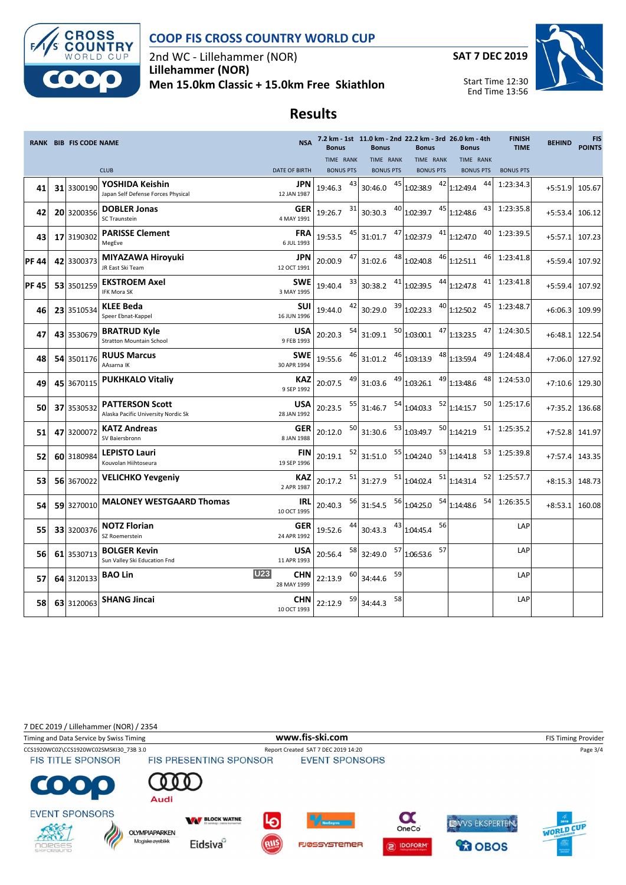

### **COOP FIS CROSS COUNTRY WORLD CUP**

2nd WC - Lillehammer (NOR) **Lillehammer (NOR) Men 15.0km Classic + 15.0km Free Skiathlon**



## **Results**

|             | <b>RANK BIB FIS CODE NAME</b> |                                                               | <b>NSA</b>                       | <b>Bonus</b>     |    | <b>Bonus</b>         |    | 7.2 km - 1st 11.0 km - 2nd 22.2 km - 3rd 26.0 km - 4th<br><b>Bonus</b> |    | <b>Bonus</b>                    | <b>FINISH</b><br><b>TIME</b> | <b>BEHIND</b> | <b>FIS</b><br><b>POINTS</b> |
|-------------|-------------------------------|---------------------------------------------------------------|----------------------------------|------------------|----|----------------------|----|------------------------------------------------------------------------|----|---------------------------------|------------------------------|---------------|-----------------------------|
|             |                               |                                                               |                                  | TIME RANK        |    | TIME RANK            |    | TIME RANK                                                              |    | TIME RANK                       |                              |               |                             |
|             |                               | <b>CLUB</b>                                                   | <b>DATE OF BIRTH</b>             | <b>BONUS PTS</b> |    | <b>BONUS PTS</b>     |    | <b>BONUS PTS</b>                                                       |    | <b>BONUS PTS</b>                | <b>BONUS PTS</b>             |               |                             |
| 41          | 31 3300190                    | YOSHIDA Keishin<br>Japan Self Defense Forces Physical         | JPN<br>12 JAN 1987               | 19:46.3          | 43 | 30:46.0              | 45 | 1:02:38.9                                                              |    | 44<br>$42$ 1:12:49.4            | 1:23:34.3                    | $+5:51.9$     | 105.67                      |
| 42          | 20 3200356                    | <b>DOBLER Jonas</b><br>SC Traunstein                          | <b>GER</b><br>4 MAY 1991         | 19:26.7          | 31 | 30:30.3              |    | $40$ <sub>1:02:39.7</sub>                                              |    | $45$ <sub>1:12:48.6</sub><br>43 | 1:23:35.8                    | $+5:53.4$     | 106.12                      |
| 43          | 17 3190302                    | <b>PARISSE Clement</b><br>MegEve                              | <b>FRA</b><br>6 JUL 1993         | 19:53.5          |    |                      |    | 31:01.7 $47 \mid 1.02:37.9$ $41 \mid 1.12:47.0$                        |    | 40                              | 1:23:39.5                    | $+5:57.1$     | 107.23                      |
| <b>PF44</b> | 42 3300373                    | MIYAZAWA Hiroyuki<br>JR East Ski Team                         | JPN<br>12 OCT 1991               | 20:00.9          |    |                      |    | 31:02.6 $^{48}$ 1:02:40.8 $^{46}$ 1:12:51.1                            |    | 46                              | 1:23:41.8                    | $+5:59.4$     | 107.92                      |
| <b>PF45</b> | 53 3501259                    | <b>EKSTROEM Axel</b><br>IFK Mora SK                           | <b>SWE</b><br>3 MAY 1995         | 19:40.4          | 33 | 30:38.2              |    | $41$ <sub>1:02:39.5</sub>                                              |    | $44$ 1:12:47.8<br>41            | 1:23:41.8                    | $+5:59.4$     | 107.92                      |
| 46          | 23 3510534                    | <b>KLEE Beda</b><br>Speer Ebnat-Kappel                        | SUI<br>16 JUN 1996               | 19:44.0          | 42 | 30:29.0              |    | $39$ 1:02:23.3                                                         |    | $40$ <sub>1:12:50.2</sub><br>45 | 1:23:48.7                    | $+6:06.3$     | 109.99                      |
| 47          | 43 3530679                    | <b>BRATRUD Kyle</b><br><b>Stratton Mountain School</b>        | <b>USA</b><br>9 FEB 1993         | 20:20.3          | 54 | 31:09.1              |    | $50$ <sub>1:03:00.1</sub>                                              |    | $47$ <sub>1:13:23.5</sub><br>47 | 1:24:30.5                    | $+6:48.1$     | 122.54                      |
| 48          | 54 3501176                    | <b>RUUS Marcus</b><br>AAsarna IK                              | <b>SWE</b><br>30 APR 1994        | 19:55.6          |    |                      |    | 31:01.2 $^{46}$ 1:03:13.9 $^{48}$ 1:13:59.4                            |    | 49                              | 1:24:48.4                    | $+7:06.0$     | 127.92                      |
| 49          | 45 3670115                    | <b>PUKHKALO Vitaliy</b>                                       | KAZ<br>9 SEP 1992                | 20:07.5          |    | 31:03.6              |    | $49$ 1:03:26.1                                                         |    | 48<br>$49$ 1:13:48.6            | 1:24:53.0                    | $+7:10.6$     | 129.30                      |
| 50          | 37 3530532                    | <b>PATTERSON Scott</b><br>Alaska Pacific University Nordic Sk | <b>USA</b><br>28 JAN 1992        | 20:23.5          | 55 | 31:46.7              |    | $54$ 1:04:03.3                                                         |    | $52$ 1:14:15.7<br>50            | 1:25:17.6                    | $+7:35.2$     | 136.68                      |
| 51          | 47 3200072                    | <b>KATZ Andreas</b><br>SV Baiersbronn                         | <b>GER</b><br>8 JAN 1988         | 20:12.0          | 50 | 31:30.6              |    | 53 1:03:49.7                                                           |    | $50$ <sub>1:14:21.9</sub><br>51 | 1:25:35.2                    | $+7:52.8$     | 141.97                      |
| 52          | 60 3180984                    | <b>LEPISTO Lauri</b><br>Kouvolan Hiihtoseura                  | FIN<br>19 SEP 1996               | 20:19.1          | 52 | 31:51.0 55 1:04:24.0 |    |                                                                        |    | $53$ 1:14:41.8<br>53            | 1:25:39.8                    | $+7:57.4$     | 143.35                      |
| 53          | 56 3670022                    | <b>VELICHKO Yevgeniy</b>                                      | <b>KAZ</b><br>2 APR 1987         | 20:17.2          | 51 |                      |    | $31:27.9$ <sup>51</sup> 1:04:02.4 <sup>51</sup> 1:14:31.4              |    |                                 | 52 1:25:57.7                 | $+8:15.3$     | 148.73                      |
| 54          | 59 3270010                    | <b>MALONEY WESTGAARD Thomas</b>                               | IRL<br>10 OCT 1995               | 20:40.3          | 56 |                      |    | $31:54.5$ $56$ 1:04:25.0 $54$ 1:14:48.6                                |    |                                 | 54 1:26:35.5                 | $+8:53.1$     | 160.08                      |
| 55          | 33 3200376                    | <b>NOTZ Florian</b><br>SZ Roemerstein                         | <b>GER</b><br>24 APR 1992        | 19:52.6          |    | 30:43.3              |    | 43 1:04:45.4                                                           | 56 |                                 | LAP                          |               |                             |
| 56          | 61 3530713                    | <b>BOLGER Kevin</b><br>Sun Valley Ski Education Fnd           | <b>USA</b><br>11 APR 1993        | 20:56.4          | 58 | 32:49.0              |    | 57<br>$57$ 1:06:53.6                                                   |    |                                 | LAP                          |               |                             |
| 57          | 64 3120133                    | <b>BAO Lin</b>                                                | <b>U23</b><br>CHN<br>28 MAY 1999 | 22:13.9          | 60 | 34:44.6              | 59 |                                                                        |    |                                 | LAP                          |               |                             |
| 58          |                               | 63 3120063 SHANG Jincai                                       | CHN<br>10 OCT 1993               | 22:12.9          | 59 | 34:44.3              | 58 |                                                                        |    |                                 | LAP                          |               |                             |

7 DEC 2019 / Lillehammer (NOR) / 2354